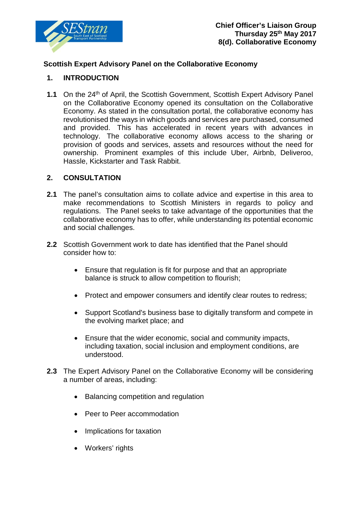

# **Scottish Expert Advisory Panel on the Collaborative Economy**

# **1. INTRODUCTION**

**1.1** On the 24<sup>th</sup> of April, the Scottish Government, Scottish Expert Advisory Panel on the Collaborative Economy opened its consultation on the Collaborative Economy. As stated in the consultation portal, the collaborative economy has revolutionised the ways in which goods and services are purchased, consumed and provided. This has accelerated in recent years with advances in technology. The collaborative economy allows access to the sharing or provision of goods and services, assets and resources without the need for ownership. Prominent examples of this include Uber, Airbnb, Deliveroo, Hassle, Kickstarter and Task Rabbit.

# **2. CONSULTATION**

- **2.1** The panel's consultation aims to collate advice and expertise in this area to make recommendations to Scottish Ministers in regards to policy and regulations. The Panel seeks to take advantage of the opportunities that the collaborative economy has to offer, while understanding its potential economic and social challenges.
- **2.2** Scottish Government work to date has identified that the Panel should consider how to:
	- Ensure that regulation is fit for purpose and that an appropriate balance is struck to allow competition to flourish;
	- Protect and empower consumers and identify clear routes to redress;
	- Support Scotland's business base to digitally transform and compete in the evolving market place; and
	- Ensure that the wider economic, social and community impacts, including taxation, social inclusion and employment conditions, are understood.
- **2.3** The Expert Advisory Panel on the Collaborative Economy will be considering a number of areas, including:
	- Balancing competition and regulation
	- Peer to Peer accommodation
	- Implications for taxation
	- Workers' rights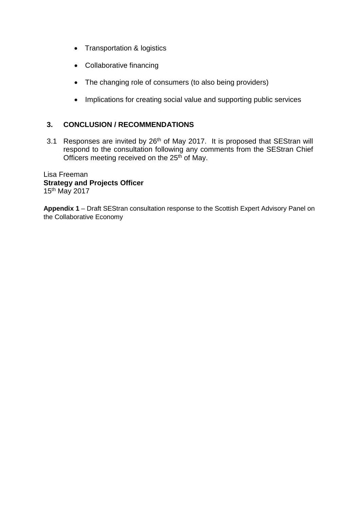- Transportation & logistics
- Collaborative financing
- The changing role of consumers (to also being providers)
- Implications for creating social value and supporting public services

# **3. CONCLUSION / RECOMMENDATIONS**

3.1 Responses are invited by 26<sup>th</sup> of May 2017. It is proposed that SEStran will respond to the consultation following any comments from the SEStran Chief Officers meeting received on the 25<sup>th</sup> of May.

Lisa Freeman **Strategy and Projects Officer** 15th May 2017

**Appendix 1** – Draft SEStran consultation response to the Scottish Expert Advisory Panel on the Collaborative Economy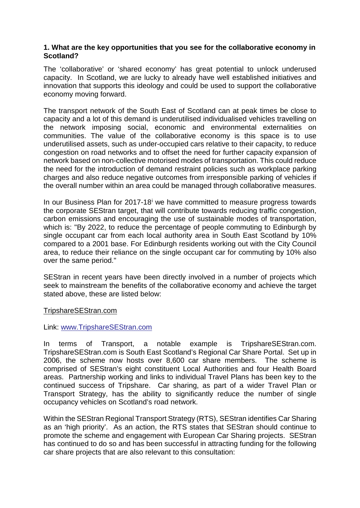# **1. What are the key opportunities that you see for the collaborative economy in Scotland?**

The 'collaborative' or 'shared economy' has great potential to unlock underused capacity. In Scotland, we are lucky to already have well established initiatives and innovation that supports this ideology and could be used to support the collaborative economy moving forward.

The transport network of the South East of Scotland can at peak times be close to capacity and a lot of this demand is underutilised individualised vehicles travelling on the network imposing social, economic and environmental externalities on communities. The value of the collaborative economy is this space is to use underutilised assets, such as under-occupied cars relative to their capacity, to reduce congestion on road networks and to offset the need for further capacity expansion of network based on non-collective motorised modes of transportation. This could reduce the need for the introduction of demand restraint policies such as workplace parking charges and also reduce negative outcomes from irresponsible parking of vehicles if the overall number within an area could be managed through collaborative measures.

In our Bus[i](#page-10-0)ness Plan for 2017-18<sup>i</sup> we have committed to measure progress towards the corporate SEStran target, that will contribute towards reducing traffic congestion, carbon emissions and encouraging the use of sustainable modes of transportation, which is: "By 2022, to reduce the percentage of people commuting to Edinburgh by single occupant car from each local authority area in South East Scotland by 10% compared to a 2001 base. For Edinburgh residents working out with the City Council area, to reduce their reliance on the single occupant car for commuting by 10% also over the same period."

SEStran in recent years have been directly involved in a number of projects which seek to mainstream the benefits of the collaborative economy and achieve the target stated above, these are listed below:

# TripshareSEStran.com

#### Link: [www.TripshareSEStran.com](http://www.tripsharesestran.com/)

In terms of Transport, a notable example is TripshareSEStran.com. TripshareSEStran.com is South East Scotland's Regional Car Share Portal. Set up in 2006, the scheme now hosts over 8,600 car share members. The scheme is comprised of SEStran's eight constituent Local Authorities and four Health Board areas. Partnership working and links to individual Travel Plans has been key to the continued success of Tripshare. Car sharing, as part of a wider Travel Plan or Transport Strategy, has the ability to significantly reduce the number of single occupancy vehicles on Scotland's road network.

Within the SEStran Regional Transport Strategy (RTS), SEStran identifies Car Sharing as an 'high priority'. As an action, the RTS states that SEStran should continue to promote the scheme and engagement with European Car Sharing projects. SEStran has continued to do so and has been successful in attracting funding for the following car share projects that are also relevant to this consultation: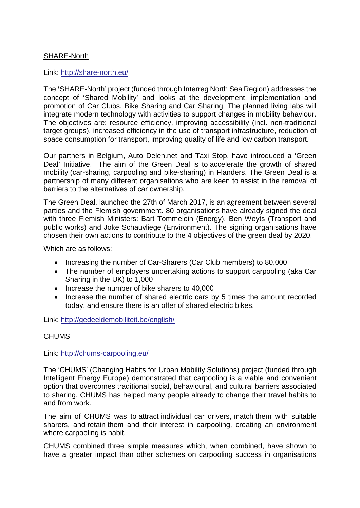# SHARE-North

Link:<http://share-north.eu/>

The **'**SHARE-North' project (funded through Interreg North Sea Region) addresses the concept of 'Shared Mobility' and looks at the development, implementation and promotion of Car Clubs, Bike Sharing and Car Sharing. The planned living labs will integrate modern technology with activities to support changes in mobility behaviour. The objectives are: resource efficiency, improving accessibility (incl. non-traditional target groups), increased efficiency in the use of transport infrastructure, reduction of space consumption for transport, improving quality of life and low carbon transport.

Our partners in Belgium, Auto Delen.net and Taxi Stop, have introduced a 'Green Deal' Initiative. The aim of the Green Deal is to accelerate the growth of shared mobility (car-sharing, carpooling and bike-sharing) in Flanders. The Green Deal is a partnership of many different organisations who are keen to assist in the removal of barriers to the alternatives of car ownership.

The Green Deal, launched the 27th of March 2017, is an agreement between several parties and the Flemish government. 80 organisations have already signed the deal with three Flemish Ministers: Bart Tommelein (Energy), Ben Weyts (Transport and public works) and Joke Schauvliege (Environment). The signing organisations have chosen their own actions to contribute to the 4 objectives of the green deal by 2020.

Which are as follows:

- Increasing the number of Car-Sharers (Car Club members) to 80,000
- The number of employers undertaking actions to support carpooling (aka Car Sharing in the UK) to 1,000
- Increase the number of bike sharers to 40,000
- Increase the number of shared electric cars by 5 times the amount recorded today, and ensure there is an offer of shared electric bikes.

Link:<http://gedeeldemobiliteit.be/english/>

# CHUMS

Link:<http://chums-carpooling.eu/>

The 'CHUMS' (Changing Habits for Urban Mobility Solutions) project (funded through Intelligent Energy Europe) demonstrated that carpooling is a viable and convenient option that overcomes traditional social, behavioural, and cultural barriers associated to sharing. CHUMS has helped many people already to change their travel habits to and from work.

The aim of CHUMS was to attract individual car drivers, match them with suitable sharers, and retain them and their interest in carpooling, creating an environment where carpooling is habit.

CHUMS combined three simple measures which, when combined, have shown to have a greater impact than other schemes on carpooling success in organisations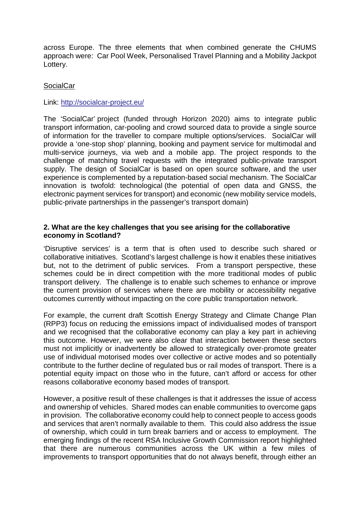across Europe. The three elements that when combined generate the CHUMS approach were: Car Pool Week, Personalised Travel Planning and a Mobility Jackpot Lottery.

### **SocialCar**

#### Link:<http://socialcar-project.eu/>

The 'SocialCar' project (funded through Horizon 2020) aims to integrate public transport information, car-pooling and crowd sourced data to provide a single source of information for the traveller to compare multiple options/services. SocialCar will provide a 'one-stop shop' planning, booking and payment service for multimodal and multi-service journeys, via web and a mobile app. The project responds to the challenge of matching travel requests with the integrated public-private transport supply. The design of SocialCar is based on open source software, and the user experience is complemented by a reputation-based social mechanism. The SocialCar innovation is twofold: technological (the potential of open data and GNSS, the electronic payment services for transport) and economic (new mobility service models, public-private partnerships in the passenger's transport domain)

### **2. What are the key challenges that you see arising for the collaborative economy in Scotland?**

'Disruptive services' is a term that is often used to describe such shared or collaborative initiatives. Scotland's largest challenge is how it enables these initiatives but, not to the detriment of public services. From a transport perspective, these schemes could be in direct competition with the more traditional modes of public transport delivery. The challenge is to enable such schemes to enhance or improve the current provision of services where there are mobility or accessibility negative outcomes currently without impacting on the core public transportation network.

For example, the current draft Scottish Energy Strategy and Climate Change Plan (RPP3) focus on reducing the emissions impact of individualised modes of transport and we recognised that the collaborative economy can play a key part in achieving this outcome. However, we were also clear that interaction between these sectors must not implicitly or inadvertently be allowed to strategically over-promote greater use of individual motorised modes over collective or active modes and so potentially contribute to the further decline of regulated bus or rail modes of transport. There is a potential equity impact on those who in the future, can't afford or access for other reasons collaborative economy based modes of transport.

However, a positive result of these challenges is that it addresses the issue of access and ownership of vehicles. Shared modes can enable communities to overcome gaps in provision. The collaborative economy could help to connect people to access goods and services that aren't normally available to them. This could also address the issue of ownership, which could in turn break barriers and or access to employment. The emerging findings of the recent RSA Inclusive Growth Commission report highlighted that there are numerous communities across the UK within a few miles of improvements to transport opportunities that do not always benefit, through either an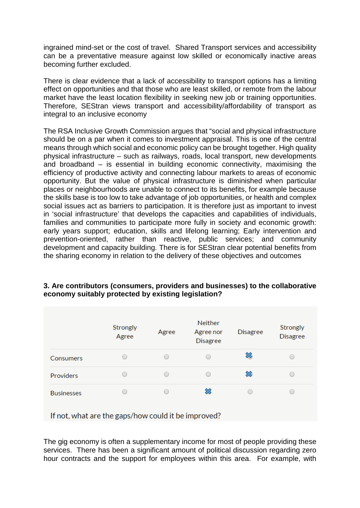ingrained mind-set or the cost of travel. Shared Transport services and accessibility can be a preventative measure against low skilled or economically inactive areas becoming further excluded.

There is clear evidence that a lack of accessibility to transport options has a limiting effect on opportunities and that those who are least skilled, or remote from the labour market have the least location flexibility in seeking new job or training opportunities. Therefore, SEStran views transport and accessibility/affordability of transport as integral to an inclusive economy

The RSA Inclusive Growth Commission argues that "social and physical infrastructure should be on a par when it comes to investment appraisal. This is one of the central means through which social and economic policy can be brought together. High quality physical infrastructure – such as railways, roads, local transport, new developments and broadband – is essential in building economic connectivity, maximising the efficiency of productive activity and connecting labour markets to areas of economic opportunity. But the value of physical infrastructure is diminished when particular places or neighbourhoods are unable to connect to its benefits, for example because the skills base is too low to take advantage of job opportunities, or health and complex social issues act as barriers to participation. It is therefore just as important to invest in 'social infrastructure' that develops the capacities and capabilities of individuals, families and communities to participate more fully in society and economic growth: early years support; education, skills and lifelong learning; Early intervention and prevention-oriented, rather than reactive, public services; and community development and capacity building. There is for SEStran clear potential benefits from the sharing economy in relation to the delivery of these objectives and outcomes

|                   | Strongly<br>Agree | Agree                  | <b>Neither</b><br>Agree nor<br><b>Disagree</b> | <b>Disagree</b>     | Strongly<br><b>Disagree</b> |
|-------------------|-------------------|------------------------|------------------------------------------------|---------------------|-----------------------------|
| <b>Consumers</b>  | 0                 | $\bigcirc$             |                                                | ≋                   |                             |
| <b>Providers</b>  |                   | $\hspace{0.1mm}^{(-)}$ | ∩                                              | $\pmb{\mathcal{Z}}$ |                             |
| <b>Businesses</b> |                   | œ                      | ≋                                              | $\bigcirc$          |                             |

# **3. Are contributors (consumers, providers and businesses) to the collaborative economy suitably protected by existing legislation?**

If not, what are the gaps/how could it be improved?

The gig economy is often a supplementary income for most of people providing these services. There has been a significant amount of political discussion regarding zero hour contracts and the support for employees within this area. For example, with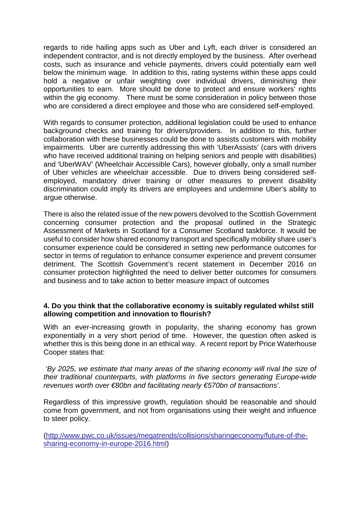regards to ride hailing apps such as Uber and Lyft, each driver is considered an independent contractor, and is not directly employed by the business. After overhead costs, such as insurance and vehicle payments, drivers could potentially earn well below the minimum wage. In addition to this, rating systems within these apps could hold a negative or unfair weighting over individual drivers, diminishing their opportunities to earn. More should be done to protect and ensure workers' rights within the gig economy. There must be some consideration in policy between those who are considered a direct employee and those who are considered self-employed.

With regards to consumer protection, additional legislation could be used to enhance background checks and training for drivers/providers. In addition to this, further collaboration with these businesses could be done to assists customers with mobility impairments. Uber are currently addressing this with 'UberAssists' (cars with drivers who have received additional training on helping seniors and people with disabilities) and 'UberWAV' (Wheelchair Accessible Cars), however globally, only a small number of Uber vehicles are wheelchair accessible. Due to drivers being considered selfemployed, mandatory driver training or other measures to prevent disability discrimination could imply its drivers are employees and undermine Uber's ability to argue otherwise.

There is also the related issue of the new powers devolved to the Scottish Government concerning consumer protection and the proposal outlined in the Strategic Assessment of Markets in Scotland for a Consumer Scotland taskforce. It would be useful to consider how shared economy transport and specifically mobility share user's consumer experience could be considered in setting new performance outcomes for sector in terms of regulation to enhance consumer experience and prevent consumer detriment. The Scottish Government's recent statement in December 2016 on consumer protection highlighted the need to deliver better outcomes for consumers and business and to take action to better measure impact of outcomes

# **4. Do you think that the collaborative economy is suitably regulated whilst still allowing competition and innovation to flourish?**

With an ever-increasing growth in popularity, the sharing economy has grown exponentially in a very short period of time. However, the question often asked is whether this is this being done in an ethical way. A recent report by Price Waterhouse Cooper states that:

*'By 2025, we estimate that many areas of the sharing economy will rival the size of their traditional counterparts, with platforms in five sectors generating Europe-wide revenues worth over €80bn and facilitating nearly €570bn of transactions'.* 

Regardless of this impressive growth, regulation should be reasonable and should come from government, and not from organisations using their weight and influence to steer policy.

[\(http://www.pwc.co.uk/issues/megatrends/collisions/sharingeconomy/future-of-the](http://www.pwc.co.uk/issues/megatrends/collisions/sharingeconomy/future-of-the-sharing-economy-in-europe-2016.html)[sharing-economy-in-europe-2016.html\)](http://www.pwc.co.uk/issues/megatrends/collisions/sharingeconomy/future-of-the-sharing-economy-in-europe-2016.html)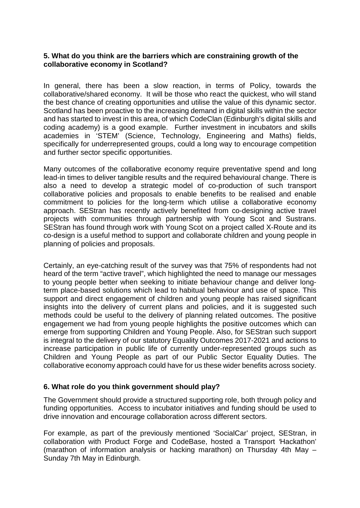# **5. What do you think are the barriers which are constraining growth of the collaborative economy in Scotland?**

In general, there has been a slow reaction, in terms of Policy, towards the collaborative/shared economy. It will be those who react the quickest, who will stand the best chance of creating opportunities and utilise the value of this dynamic sector. Scotland has been proactive to the increasing demand in digital skills within the sector and has started to invest in this area, of which CodeClan (Edinburgh's digital skills and coding academy) is a good example. Further investment in incubators and skills academies in 'STEM' (Science, Technology, Engineering and Maths) fields, specifically for underrepresented groups, could a long way to encourage competition and further sector specific opportunities.

Many outcomes of the collaborative economy require preventative spend and long lead-in times to deliver tangible results and the required behavioural change. There is also a need to develop a strategic model of co-production of such transport collaborative policies and proposals to enable benefits to be realised and enable commitment to policies for the long-term which utilise a collaborative economy approach. SEStran has recently actively benefited from co-designing active travel projects with communities through partnership with Young Scot and Sustrans. SEStran has found through work with Young Scot on a project called X-Route and its co-design is a useful method to support and collaborate children and young people in planning of policies and proposals.

Certainly, an eye-catching result of the survey was that 75% of respondents had not heard of the term "active travel", which highlighted the need to manage our messages to young people better when seeking to initiate behaviour change and deliver longterm place-based solutions which lead to habitual behaviour and use of space. This support and direct engagement of children and young people has raised significant insights into the delivery of current plans and policies, and it is suggested such methods could be useful to the delivery of planning related outcomes. The positive engagement we had from young people highlights the positive outcomes which can emerge from supporting Children and Young People. Also, for SEStran such support is integral to the delivery of our statutory Equality Outcomes 2017-2021 and actions to increase participation in public life of currently under-represented groups such as Children and Young People as part of our Public Sector Equality Duties. The collaborative economy approach could have for us these wider benefits across society.

# **6. What role do you think government should play?**

The Government should provide a structured supporting role, both through policy and funding opportunities. Access to incubator initiatives and funding should be used to drive innovation and encourage collaboration across different sectors.

For example, as part of the previously mentioned 'SocialCar' project, SEStran, in collaboration with Product Forge and CodeBase, hosted a Transport *'*Hackathon' (marathon of information analysis or hacking marathon) on Thursday 4th May – Sunday 7th May in Edinburgh.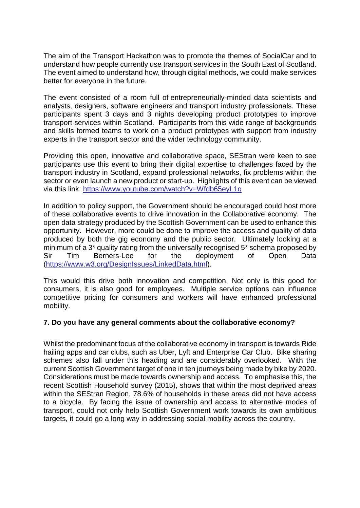The aim of the Transport Hackathon was to promote the themes of SocialCar and to understand how people currently use transport services in the South East of Scotland. The event aimed to understand how, through digital methods, we could make services better for everyone in the future.

The event consisted of a room full of entrepreneurially-minded data scientists and analysts, designers, software engineers and transport industry professionals. These participants spent 3 days and 3 nights developing product prototypes to improve transport services within Scotland. Participants from this wide range of backgrounds and skills formed teams to work on a product prototypes with support from industry experts in the transport sector and the wider technology community.

Providing this open, innovative and collaborative space, SEStran were keen to see participants use this event to bring their digital expertise to challenges faced by the transport industry in Scotland, expand professional networks, fix problems within the sector or even launch a new product or start-up. Highlights of this event can be viewed via this link: <https://www.youtube.com/watch?v=Wfdb65eyL1g>

In addition to policy support, the Government should be encouraged could host more of these collaborative events to drive innovation in the Collaborative economy. The open data strategy produced by the Scottish Government can be used to enhance this opportunity. However, more could be done to improve the access and quality of data produced by both the gig economy and the public sector. Ultimately looking at a minimum of a 3\* quality rating from the universally recognised 5\* schema proposed by Sir Tim Berners-Lee for the deployment of Open Data [\(https://www.w3.org/DesignIssues/LinkedData.html\)](https://www.w3.org/DesignIssues/LinkedData.html).

This would this drive both innovation and competition. Not only is this good for consumers, it is also good for employees. Multiple service options can influence competitive pricing for consumers and workers will have enhanced professional mobility.

# **7. Do you have any general comments about the collaborative economy?**

Whilst the predominant focus of the collaborative economy in transport is towards Ride hailing apps and car clubs, such as Uber, Lyft and Enterprise Car Club. Bike sharing schemes also fall under this heading and are considerably overlooked. With the current Scottish Government target of one in ten journeys being made by bike by 2020. Considerations must be made towards ownership and access. To emphasise this, the recent Scottish Household survey (2015), shows that within the most deprived areas within the SEStran Region, 78.6% of households in these areas did not have access to a bicycle. By facing the issue of ownership and access to alternative modes of transport, could not only help Scottish Government work towards its own ambitious targets, it could go a long way in addressing social mobility across the country.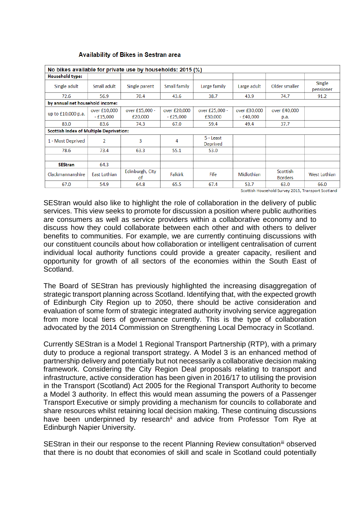| No bikes available for private use by households: 2015 (%) |              |                       |                |                       |                   |                            |                     |  |  |  |  |
|------------------------------------------------------------|--------------|-----------------------|----------------|-----------------------|-------------------|----------------------------|---------------------|--|--|--|--|
| Household type:                                            |              |                       |                |                       |                   |                            |                     |  |  |  |  |
| Single adult                                               | Small adult  | Single parent         | Small family   | Large family          | Large adult       | Older smaller              | Single<br>pensioner |  |  |  |  |
| 72.6                                                       | 56.9         | 70.4                  | 43.6           | 38.7                  | 43.9              | 74.7                       | 91.2                |  |  |  |  |
| by annual net household income:                            |              |                       |                |                       |                   |                            |                     |  |  |  |  |
| up to £10,000 p.a.                                         | over £10,000 | over £15,000 -        | over £20,000   | over £25,000 -        | over £30,000      | over £40,000               |                     |  |  |  |  |
|                                                            | - £15.000    | £20,000               | $-£25,000$     | £30,000               | $-£40.000$        | p.a.                       |                     |  |  |  |  |
| 83.0                                                       | 83.6         | 74.3                  | 67.0           | 59.4                  | 49.4              | 37.7                       |                     |  |  |  |  |
| <b>Scottish Index of Multiple Deprivation:</b>             |              |                       |                |                       |                   |                            |                     |  |  |  |  |
| 1 - Most Deprived                                          | 2            | 3                     | 4              | 5 - Least<br>Deprived |                   |                            |                     |  |  |  |  |
| 78.6                                                       | 73.4         | 63.3                  | 55.1           | 53.0                  |                   |                            |                     |  |  |  |  |
|                                                            |              |                       |                |                       |                   |                            |                     |  |  |  |  |
| <b>SEStran</b>                                             | 64.3         |                       |                |                       |                   |                            |                     |  |  |  |  |
| Clackmannanshire                                           | East Lothian | Edinburgh, City<br>of | <b>Falkirk</b> | Fife                  | <b>Midlothian</b> | Scottish<br><b>Borders</b> | West Lothian        |  |  |  |  |
| 67.0                                                       | 54.9         | 64.8                  | 65.5           | 67.4                  | 53.7              | 63.0                       | 66.0                |  |  |  |  |

#### **Availability of Bikes in Sestran area**

Scottish Household Survey 2015, Transport Scotland

SEStran would also like to highlight the role of collaboration in the delivery of public services. This view seeks to promote for discussion a position where public authorities are consumers as well as service providers within a collaborative economy and to discuss how they could collaborate between each other and with others to deliver benefits to communities. For example, we are currently continuing discussions with our constituent councils about how collaboration or intelligent centralisation of current individual local authority functions could provide a greater capacity, resilient and opportunity for growth of all sectors of the economies within the South East of Scotland.

The Board of SEStran has previously highlighted the increasing disaggregation of strategic transport planning across Scotland. Identifying that, with the expected growth of Edinburgh City Region up to 2050, there should be active consideration and evaluation of some form of strategic integrated authority involving service aggregation from more local tiers of governance currently. This is the type of collaboration advocated by the 2014 Commission on Strengthening Local Democracy in Scotland.

Currently SEStran is a Model 1 Regional Transport Partnership (RTP), with a primary duty to produce a regional transport strategy. A Model 3 is an enhanced method of partnership delivery and potentially but not necessarily a collaborative decision making framework. Considering the City Region Deal proposals relating to transport and infrastructure, active consideration has been given in 2016/17 to utilising the provision in the Transport (Scotland) Act 2005 for the Regional Transport Authority to become a Model 3 authority. In effect this would mean assuming the powers of a Passenger Transport Executive or simply providing a mechanism for councils to collaborate and share resources whilst retaining local decision making. These continuing discussions have been underpinned by research<sup>[ii](#page-10-1)</sup> and advice from Professor Tom Rye at Edinburgh Napier University.

SEStran in their our response to the recent Planning Review consultation<sup>[iii](#page-10-2)</sup> observed that there is no doubt that economies of skill and scale in Scotland could potentially